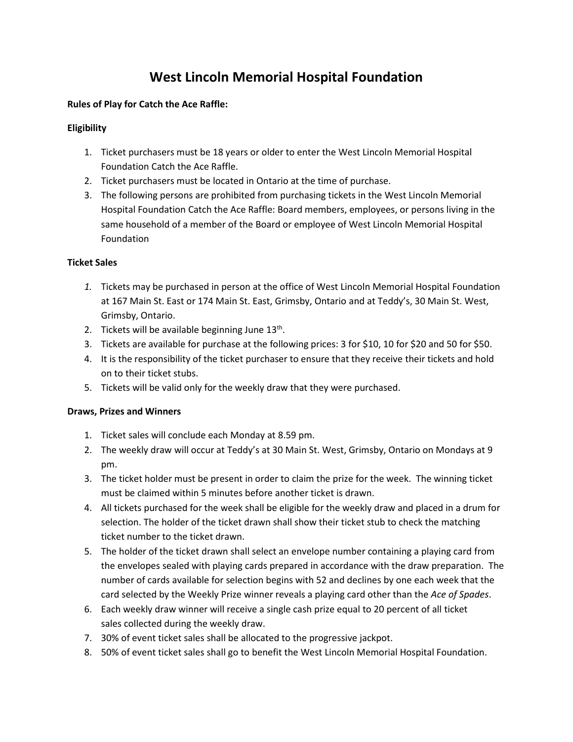# **West Lincoln Memorial Hospital Foundation**

# **Rules of Play for Catch the Ace Raffle:**

# **Eligibility**

- 1. Ticket purchasers must be 18 years or older to enter the West Lincoln Memorial Hospital Foundation Catch the Ace Raffle.
- 2. Ticket purchasers must be located in Ontario at the time of purchase.
- 3. The following persons are prohibited from purchasing tickets in the West Lincoln Memorial Hospital Foundation Catch the Ace Raffle: Board members, employees, or persons living in the same household of a member of the Board or employee of West Lincoln Memorial Hospital Foundation

### **Ticket Sales**

- *1.* Tickets may be purchased in person at the office of West Lincoln Memorial Hospital Foundation at 167 Main St. East or 174 Main St. East, Grimsby, Ontario and at Teddy's, 30 Main St. West, Grimsby, Ontario.
- 2. Tickets will be available beginning June  $13<sup>th</sup>$ .
- 3. Tickets are available for purchase at the following prices: 3 for \$10, 10 for \$20 and 50 for \$50.
- 4. It is the responsibility of the ticket purchaser to ensure that they receive their tickets and hold on to their ticket stubs.
- 5. Tickets will be valid only for the weekly draw that they were purchased.

#### **Draws, Prizes and Winners**

- 1. Ticket sales will conclude each Monday at 8.59 pm.
- 2. The weekly draw will occur at Teddy's at 30 Main St. West, Grimsby, Ontario on Mondays at 9 pm.
- 3. The ticket holder must be present in order to claim the prize for the week. The winning ticket must be claimed within 5 minutes before another ticket is drawn.
- 4. All tickets purchased for the week shall be eligible for the weekly draw and placed in a drum for selection. The holder of the ticket drawn shall show their ticket stub to check the matching ticket number to the ticket drawn.
- 5. The holder of the ticket drawn shall select an envelope number containing a playing card from the envelopes sealed with playing cards prepared in accordance with the draw preparation. The number of cards available for selection begins with 52 and declines by one each week that the card selected by the Weekly Prize winner reveals a playing card other than the *Ace of Spades*.
- 6. Each weekly draw winner will receive a single cash prize equal to 20 percent of all ticket sales collected during the weekly draw.
- 7. 30% of event ticket sales shall be allocated to the progressive jackpot.
- 8. 50% of event ticket sales shall go to benefit the West Lincoln Memorial Hospital Foundation.